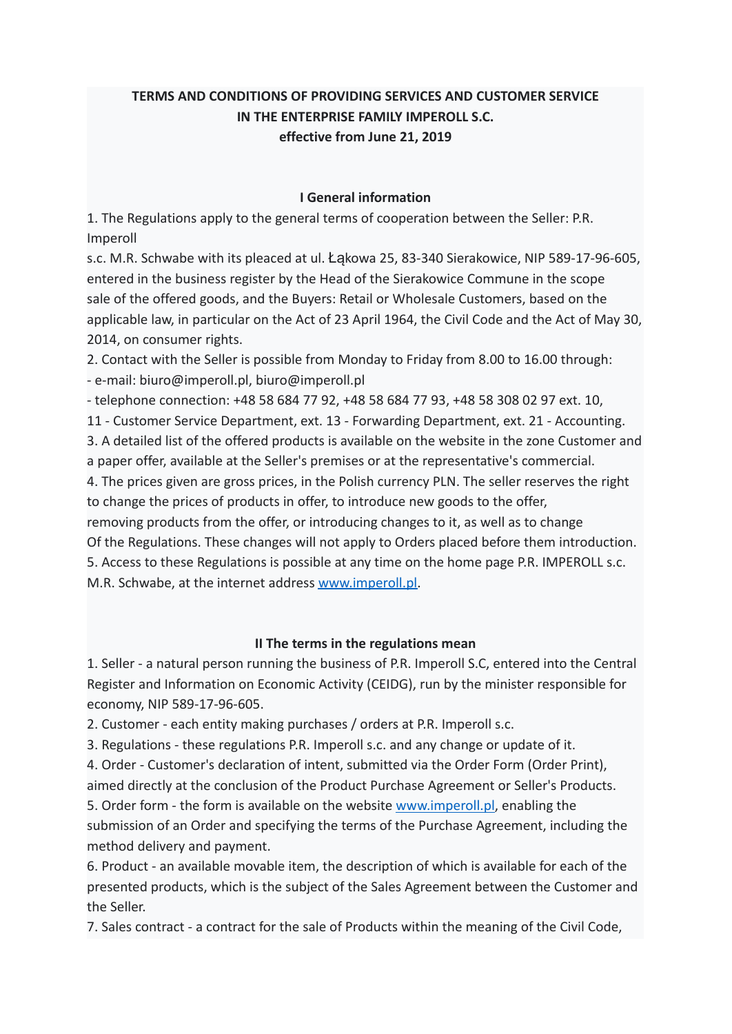# **TERMS AND CONDITIONS OF PROVIDING SERVICES AND CUSTOMER SERVICE IN THE ENTERPRISE FAMILY IMPEROLL S.C. effective from June 21, 2019**

#### **I General information**

1. The Regulations apply to the general terms of cooperation between the Seller: P.R. Imperoll

s.c. M.R. Schwabe with its pleaced at ul. Łąkowa 25, 83-340 Sierakowice, NIP 589-17-96-605, entered in the business register by the Head of the Sierakowice Commune in the scope sale of the offered goods, and the Buyers: Retail or Wholesale Customers, based on the applicable law, in particular on the Act of 23 April 1964, the Civil Code and the Act of May 30, 2014, on consumer rights.

2. Contact with the Seller is possible from Monday to Friday from 8.00 to 16.00 through: - e-mail: biuro@imperoll.pl, biuro@imperoll.pl

- telephone connection: +48 58 684 77 92, +48 58 684 77 93, +48 58 308 02 97 ext. 10,

11 - Customer Service Department, ext. 13 - Forwarding Department, ext. 21 - Accounting. 3. A detailed list of the offered products is available on the website in the zone Customer and

a paper offer, available at the Seller's premises or at the representative's commercial.

4. The prices given are gross prices, in the Polish currency PLN. The seller reserves the right to change the prices of products in offer, to introduce new goods to the offer,

removing products from the offer, or introducing changes to it, as well as to change Of the Regulations. These changes will not apply to Orders placed before them introduction. 5. Access to these Regulations is possible at any time on the home page P.R. IMPEROLL s.c. M.R. Schwabe, at the internet address [www.imperoll.pl.](http://www.imperoll.pl)

## **II The terms in the regulations mean**

1. Seller - a natural person running the business of P.R. Imperoll S.C, entered into the Central Register and Information on Economic Activity (CEIDG), run by the minister responsible for economy, NIP 589-17-96-605.

2. Customer - each entity making purchases / orders at P.R. Imperoll s.c.

3. Regulations - these regulations P.R. Imperoll s.c. and any change or update of it.

4. Order - Customer's declaration of intent, submitted via the Order Form (Order Print),

aimed directly at the conclusion of the Product Purchase Agreement or Seller's Products.

5. Order form - the form is available on the website [www.imperoll.pl](http://www.imperoll.pl), enabling the submission of an Order and specifying the terms of the Purchase Agreement, including the method delivery and payment.

6. Product - an available movable item, the description of which is available for each of the presented products, which is the subject of the Sales Agreement between the Customer and the Seller.

7. Sales contract - a contract for the sale of Products within the meaning of the Civil Code,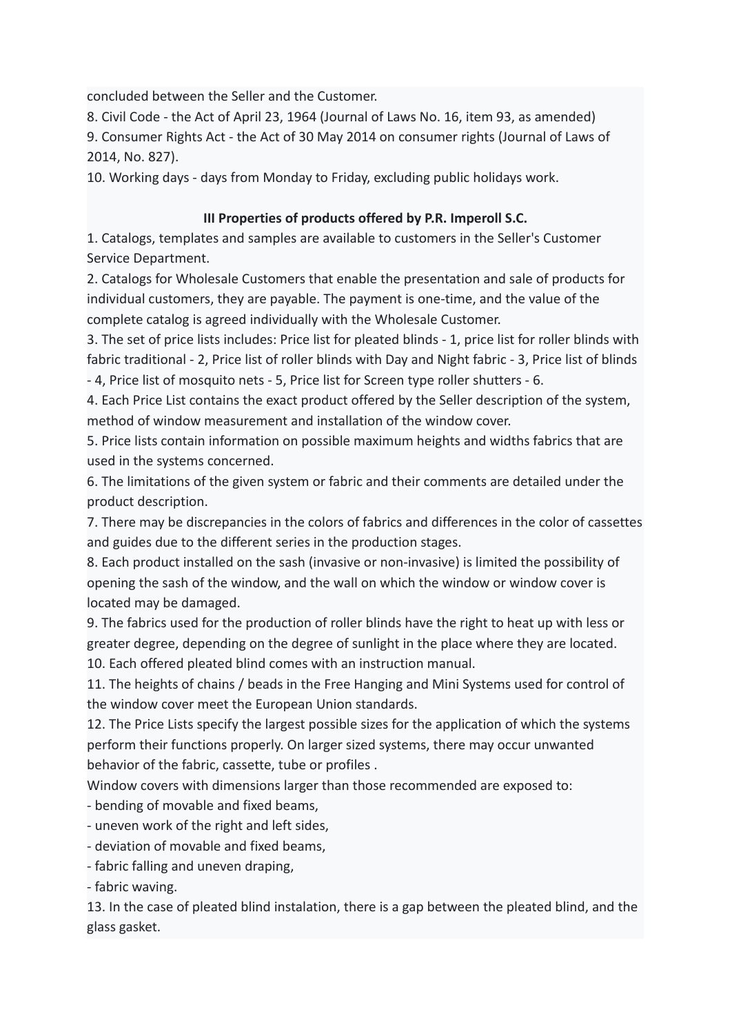concluded between the Seller and the Customer.

8. Civil Code - the Act of April 23, 1964 (Journal of Laws No. 16, item 93, as amended) 9. Consumer Rights Act - the Act of 30 May 2014 on consumer rights (Journal of Laws of 2014, No. 827).

10. Working days - days from Monday to Friday, excluding public holidays work.

### **III Properties of products offered by P.R. Imperoll S.C.**

1. Catalogs, templates and samples are available to customers in the Seller's Customer Service Department.

2. Catalogs for Wholesale Customers that enable the presentation and sale of products for individual customers, they are payable. The payment is one-time, and the value of the complete catalog is agreed individually with the Wholesale Customer.

3. The set of price lists includes: Price list for pleated blinds - 1, price list for roller blinds with fabric traditional - 2, Price list of roller blinds with Day and Night fabric - 3, Price list of blinds - 4, Price list of mosquito nets - 5, Price list for Screen type roller shutters - 6.

4. Each Price List contains the exact product offered by the Seller description of the system, method of window measurement and installation of the window cover.

5. Price lists contain information on possible maximum heights and widths fabrics that are used in the systems concerned.

6. The limitations of the given system or fabric and their comments are detailed under the product description.

7. There may be discrepancies in the colors of fabrics and differences in the color of cassettes and guides due to the different series in the production stages.

8. Each product installed on the sash (invasive or non-invasive) is limited the possibility of opening the sash of the window, and the wall on which the window or window cover is located may be damaged.

9. The fabrics used for the production of roller blinds have the right to heat up with less or greater degree, depending on the degree of sunlight in the place where they are located. 10. Each offered pleated blind comes with an instruction manual.

11. The heights of chains / beads in the Free Hanging and Mini Systems used for control of the window cover meet the European Union standards.

12. The Price Lists specify the largest possible sizes for the application of which the systems perform their functions properly. On larger sized systems, there may occur unwanted behavior of the fabric, cassette, tube or profiles .

Window covers with dimensions larger than those recommended are exposed to:

- bending of movable and fixed beams,

- uneven work of the right and left sides,

- deviation of movable and fixed beams,

- fabric falling and uneven draping,

- fabric waving.

13. In the case of pleated blind instalation, there is a gap between the pleated blind, and the glass gasket.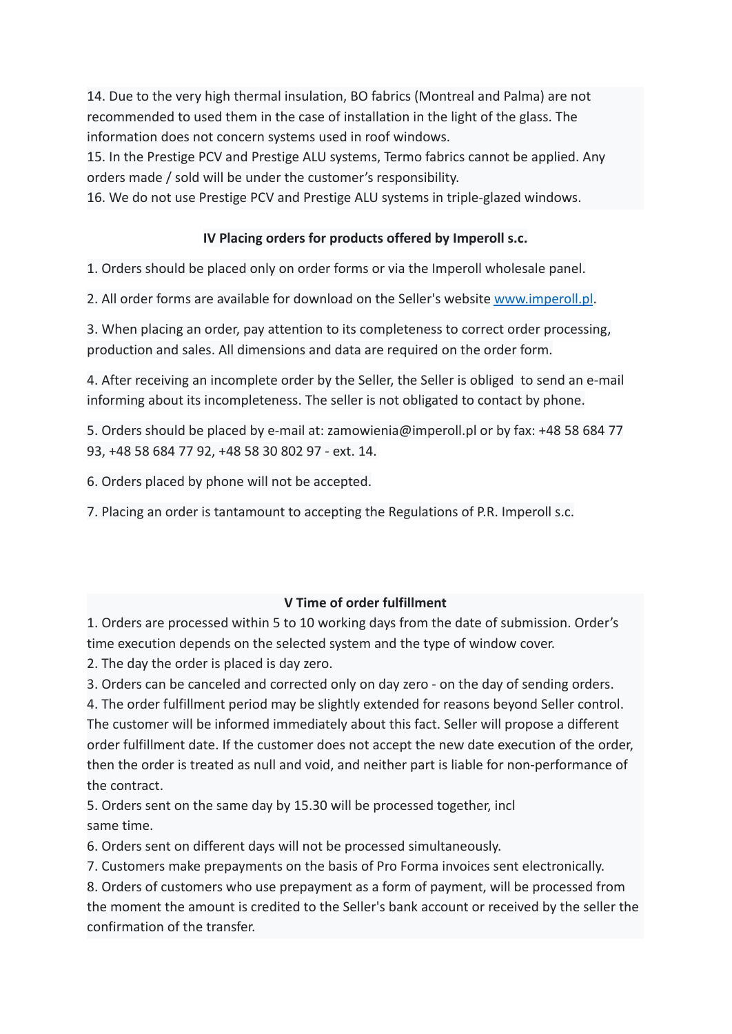14. Due to the very high thermal insulation, BO fabrics (Montreal and Palma) are not recommended to used them in the case of installation in the light of the glass. The information does not concern systems used in roof windows.

15. In the Prestige PCV and Prestige ALU systems, Termo fabrics cannot be applied. Any orders made / sold will be under the customer's responsibility.

16. We do not use Prestige PCV and Prestige ALU systems in triple-glazed windows.

### **IV Placing orders for products offered by Imperoll s.c.**

1. Orders should be placed only on order forms or via the Imperoll wholesale panel.

2. All order forms are available for download on the Seller's website [www.imperoll.pl](http://www.imperoll.pl).

3. When placing an order, pay attention to its completeness to correct order processing, production and sales. All dimensions and data are required on the order form.

4. After receiving an incomplete order by the Seller, the Seller is obliged to send an e-mail informing about its incompleteness. The seller is not obligated to contact by phone.

5. Orders should be placed by e-mail at: zamowienia@imperoll.pl or by fax: +48 58 684 77 93, +48 58 684 77 92, +48 58 30 802 97 - ext. 14.

6. Orders placed by phone will not be accepted.

7. Placing an order is tantamount to accepting the Regulations of P.R. Imperoll s.c.

## **V Time of order fulfillment**

1. Orders are processed within 5 to 10 working days from the date of submission. Order's time execution depends on the selected system and the type of window cover.

2. The day the order is placed is day zero.

3. Orders can be canceled and corrected only on day zero - on the day of sending orders.

4. The order fulfillment period may be slightly extended for reasons beyond Seller control. The customer will be informed immediately about this fact. Seller will propose a different order fulfillment date. If the customer does not accept the new date execution of the order, then the order is treated as null and void, and neither part is liable for non-performance of the contract.

5. Orders sent on the same day by 15.30 will be processed together, incl same time.

6. Orders sent on different days will not be processed simultaneously.

7. Customers make prepayments on the basis of Pro Forma invoices sent electronically.

8. Orders of customers who use prepayment as a form of payment, will be processed from the moment the amount is credited to the Seller's bank account or received by the seller the confirmation of the transfer.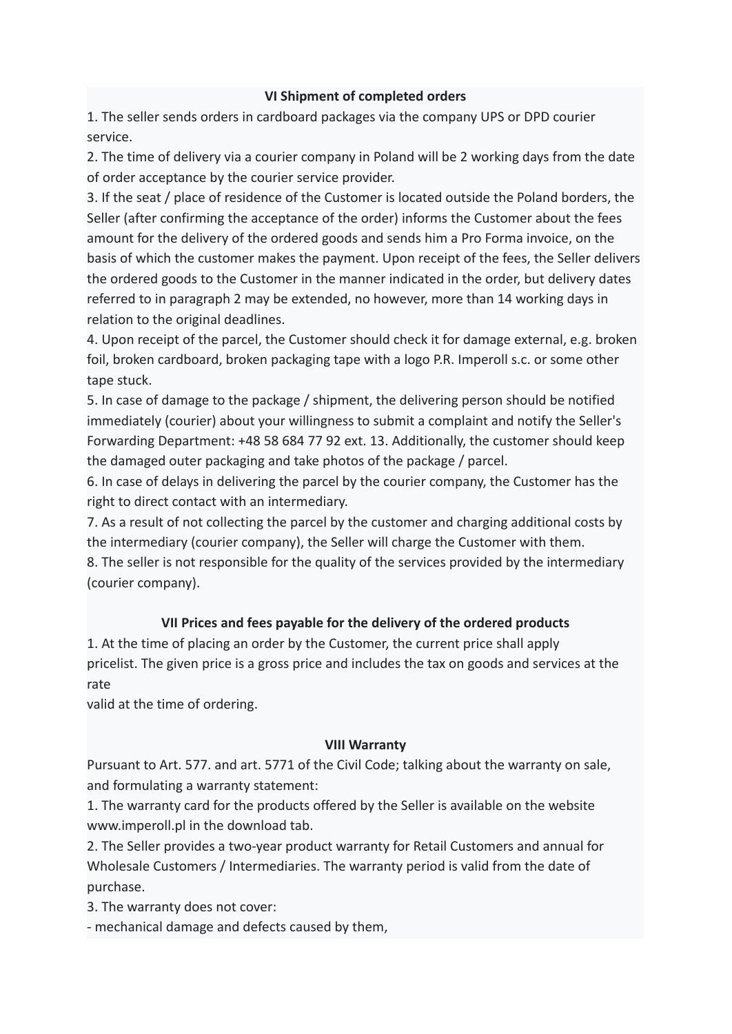#### **VI Shipment of completed orders**

1. The seller sends orders in cardboard packages via the company UPS or DPD courier service.

2. The time of delivery via a courier company in Poland will be 2 working days from the date of order acceptance by the courier service provider.

3. If the seat / place of residence of the Customer is located outside the Poland borders, the Seller (after confirming the acceptance of the order) informs the Customer about the fees amount for the delivery of the ordered goods and sends him a Pro Forma invoice, on the basis of which the customer makes the payment. Upon receipt of the fees, the Seller delivers the ordered goods to the Customer in the manner indicated in the order, but delivery dates referred to in paragraph 2 may be extended, no however, more than 14 working days in relation to the original deadlines.

4. Upon receipt of the parcel, the Customer should check it for damage external, e.g. broken foil, broken cardboard, broken packaging tape with a logo P.R. Imperoll s.c. or some other tape stuck.

5. In case of damage to the package / shipment, the delivering person should be notified immediately (courier) about your willingness to submit a complaint and notify the Seller's Forwarding Department: +48 58 684 77 92 ext. 13. Additionally, the customer should keep the damaged outer packaging and take photos of the package / parcel.

6. In case of delays in delivering the parcel by the courier company, the Customer has the right to direct contact with an intermediary.

7. As a result of not collecting the parcel by the customer and charging additional costs by the intermediary (courier company), the Seller will charge the Customer with them.

8. The seller is not responsible for the quality of the services provided by the intermediary (courier company).

## **VII Prices and fees payable for the delivery of the ordered products**

1. At the time of placing an order by the Customer, the current price shall apply pricelist. The given price is a gross price and includes the tax on goods and services at the rate

valid at the time of ordering.

#### **VIII Warranty**

Pursuant to Art. 577. and art. 5771 of the Civil Code; talking about the warranty on sale, and formulating a warranty statement:

1. The warranty card for the products offered by the Seller is available on the website www.imperoll.pl in the download tab.

2. The Seller provides a two-year product warranty for Retail Customers and annual for Wholesale Customers / Intermediaries. The warranty period is valid from the date of purchase.

3. The warranty does not cover:

- mechanical damage and defects caused by them,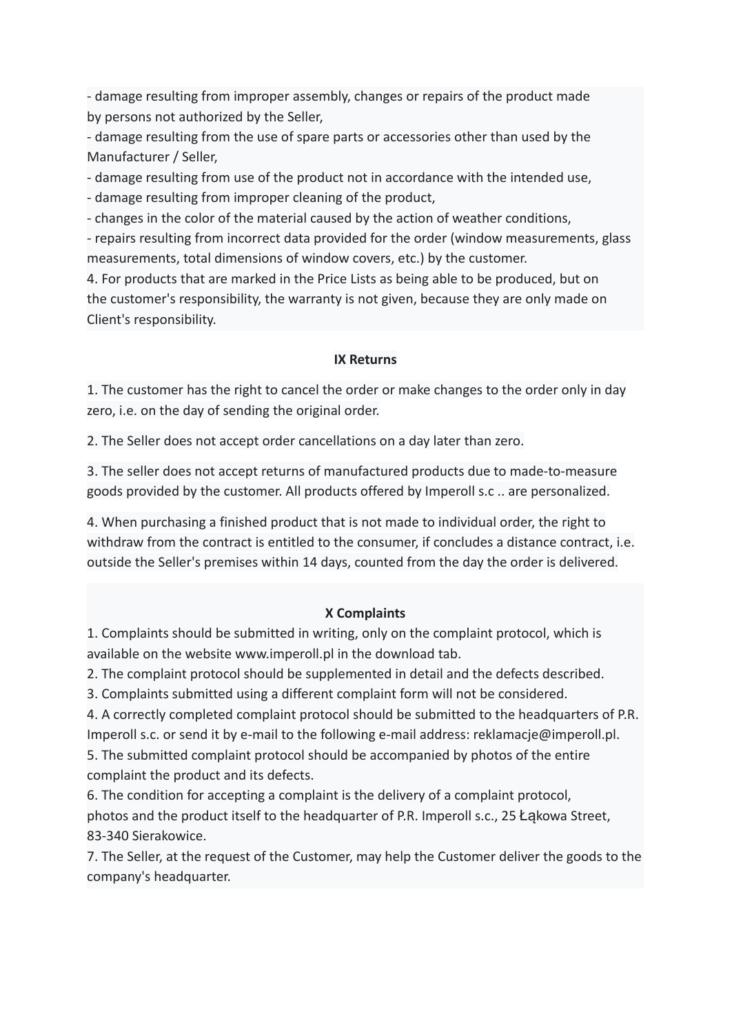- damage resulting from improper assembly, changes or repairs of the product made by persons not authorized by the Seller,

- damage resulting from the use of spare parts or accessories other than used by the Manufacturer / Seller,

- damage resulting from use of the product not in accordance with the intended use,

- damage resulting from improper cleaning of the product,

- changes in the color of the material caused by the action of weather conditions,

- repairs resulting from incorrect data provided for the order (window measurements, glass measurements, total dimensions of window covers, etc.) by the customer.

4. For products that are marked in the Price Lists as being able to be produced, but on the customer's responsibility, the warranty is not given, because they are only made on Client's responsibility.

### **IX Returns**

1. The customer has the right to cancel the order or make changes to the order only in day zero, i.e. on the day of sending the original order.

2. The Seller does not accept order cancellations on a day later than zero.

3. The seller does not accept returns of manufactured products due to made-to-measure goods provided by the customer. All products offered by Imperoll s.c .. are personalized.

4. When purchasing a finished product that is not made to individual order, the right to withdraw from the contract is entitled to the consumer, if concludes a distance contract, i.e. outside the Seller's premises within 14 days, counted from the day the order is delivered.

## **X Complaints**

1. Complaints should be submitted in writing, only on the complaint protocol, which is available on the website www.imperoll.pl in the download tab.

2. The complaint protocol should be supplemented in detail and the defects described.

3. Complaints submitted using a different complaint form will not be considered.

4. A correctly completed complaint protocol should be submitted to the headquarters of P.R. Imperoll s.c. or send it by e-mail to the following e-mail address: reklamacje@imperoll.pl.

5. The submitted complaint protocol should be accompanied by photos of the entire complaint the product and its defects.

6. The condition for accepting a complaint is the delivery of a complaint protocol, photos and the product itself to the headquarter of P.R. Imperoll s.c., 25 Łąkowa Street, 83-340 Sierakowice.

7. The Seller, at the request of the Customer, may help the Customer deliver the goods to the company's headquarter.